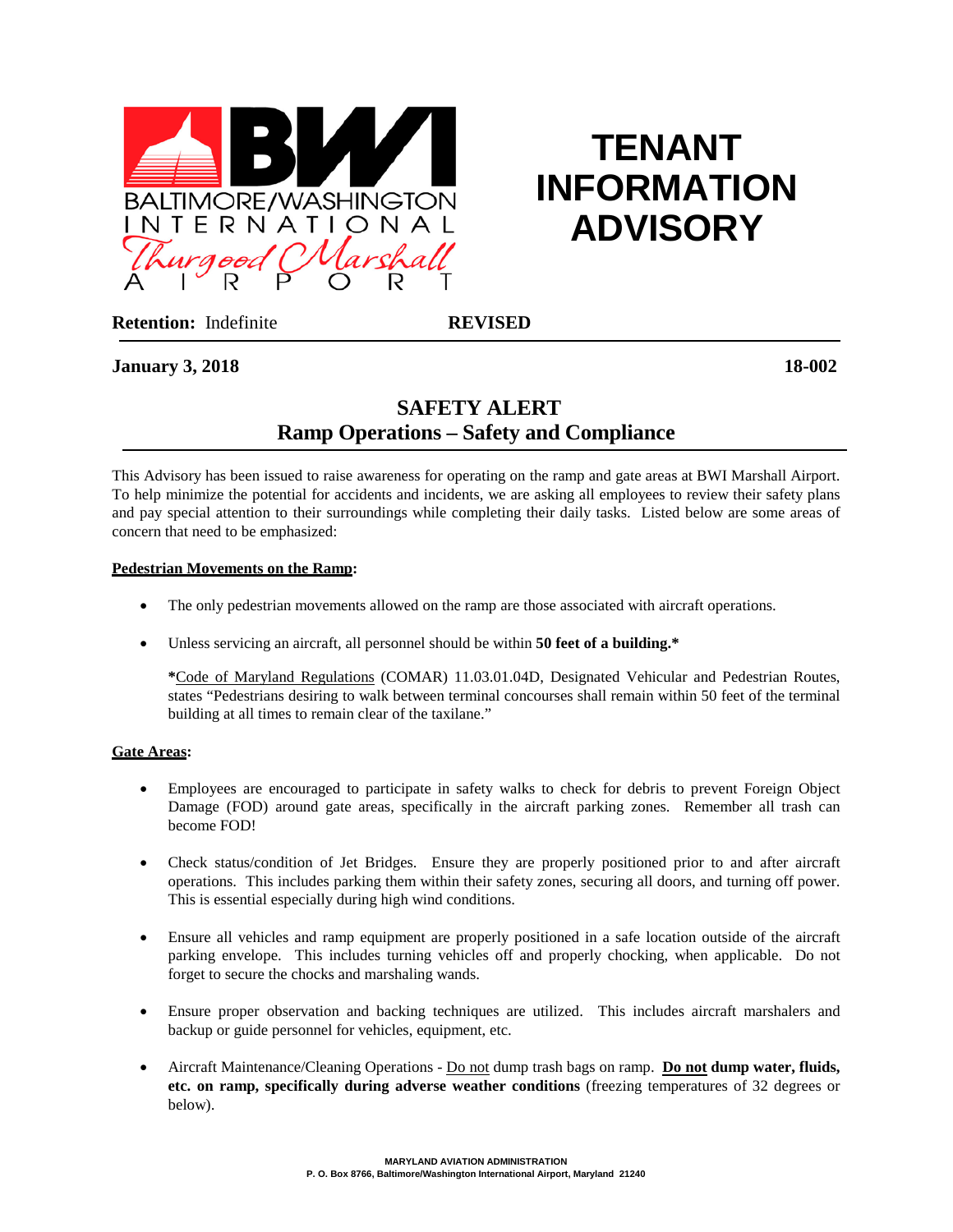

# **TENANT INFORMATION ADVISORY**

**Retention:** Indefinite **REVISED**

# **January 3, 2018 18-002**

# **SAFETY ALERT Ramp Operations – Safety and Compliance**

This Advisory has been issued to raise awareness for operating on the ramp and gate areas at BWI Marshall Airport. To help minimize the potential for accidents and incidents, we are asking all employees to review their safety plans and pay special attention to their surroundings while completing their daily tasks. Listed below are some areas of concern that need to be emphasized:

## **Pedestrian Movements on the Ramp:**

- The only pedestrian movements allowed on the ramp are those associated with aircraft operations.
- Unless servicing an aircraft, all personnel should be within **50 feet of a building.\***

**\***Code of Maryland Regulations (COMAR) 11.03.01.04D, Designated Vehicular and Pedestrian Routes, states "Pedestrians desiring to walk between terminal concourses shall remain within 50 feet of the terminal building at all times to remain clear of the taxilane."

# **Gate Areas:**

- Employees are encouraged to participate in safety walks to check for debris to prevent Foreign Object Damage (FOD) around gate areas, specifically in the aircraft parking zones. Remember all trash can become FOD!
- Check status/condition of Jet Bridges. Ensure they are properly positioned prior to and after aircraft operations. This includes parking them within their safety zones, securing all doors, and turning off power. This is essential especially during high wind conditions.
- Ensure all vehicles and ramp equipment are properly positioned in a safe location outside of the aircraft parking envelope. This includes turning vehicles off and properly chocking, when applicable. Do not forget to secure the chocks and marshaling wands.
- Ensure proper observation and backing techniques are utilized. This includes aircraft marshalers and backup or guide personnel for vehicles, equipment, etc.
- Aircraft Maintenance/Cleaning Operations Do not dump trash bags on ramp. **Do not dump water, fluids, etc. on ramp, specifically during adverse weather conditions** (freezing temperatures of 32 degrees or below).